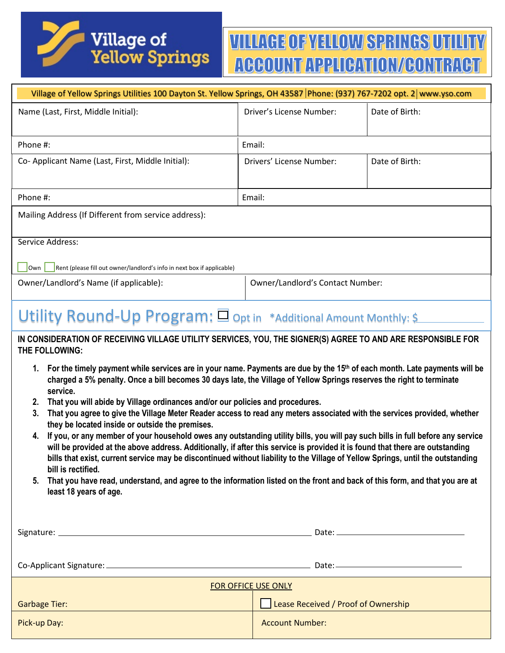

# **VILLAGE OF YELLOW SPRINGS UTILITY** ACCOUNT APPLICATION/CONTRACT

| Village of Yellow Springs Utilities 100 Dayton St. Yellow Springs, OH 43587 Phone: (937) 767-7202 opt. 2 www.yso.com                                                                                                                                                                                                                                                                                                                                                                                                                                                                                                                                                                                                                                                                                                                                        |                                     |                |  |
|-------------------------------------------------------------------------------------------------------------------------------------------------------------------------------------------------------------------------------------------------------------------------------------------------------------------------------------------------------------------------------------------------------------------------------------------------------------------------------------------------------------------------------------------------------------------------------------------------------------------------------------------------------------------------------------------------------------------------------------------------------------------------------------------------------------------------------------------------------------|-------------------------------------|----------------|--|
| Name (Last, First, Middle Initial):                                                                                                                                                                                                                                                                                                                                                                                                                                                                                                                                                                                                                                                                                                                                                                                                                         | Driver's License Number:            | Date of Birth: |  |
| Phone #:                                                                                                                                                                                                                                                                                                                                                                                                                                                                                                                                                                                                                                                                                                                                                                                                                                                    | Email:                              |                |  |
| Co- Applicant Name (Last, First, Middle Initial):                                                                                                                                                                                                                                                                                                                                                                                                                                                                                                                                                                                                                                                                                                                                                                                                           | Drivers' License Number:            | Date of Birth: |  |
| Phone #:                                                                                                                                                                                                                                                                                                                                                                                                                                                                                                                                                                                                                                                                                                                                                                                                                                                    | Email:                              |                |  |
| Mailing Address (If Different from service address):                                                                                                                                                                                                                                                                                                                                                                                                                                                                                                                                                                                                                                                                                                                                                                                                        |                                     |                |  |
| Service Address:                                                                                                                                                                                                                                                                                                                                                                                                                                                                                                                                                                                                                                                                                                                                                                                                                                            |                                     |                |  |
| Rent (please fill out owner/landlord's info in next box if applicable)<br>Own                                                                                                                                                                                                                                                                                                                                                                                                                                                                                                                                                                                                                                                                                                                                                                               |                                     |                |  |
| Owner/Landlord's Name (if applicable):                                                                                                                                                                                                                                                                                                                                                                                                                                                                                                                                                                                                                                                                                                                                                                                                                      | Owner/Landlord's Contact Number:    |                |  |
| Utility Round-Up Program: Opt in *Additional Amount Monthly: \$                                                                                                                                                                                                                                                                                                                                                                                                                                                                                                                                                                                                                                                                                                                                                                                             |                                     |                |  |
| IN CONSIDERATION OF RECEIVING VILLAGE UTILITY SERVICES, YOU, THE SIGNER(S) AGREE TO AND ARE RESPONSIBLE FOR<br>THE FOLLOWING:<br>For the timely payment while services are in your name. Payments are due by the 15th of each month. Late payments will be<br>1.<br>charged a 5% penalty. Once a bill becomes 30 days late, the Village of Yellow Springs reserves the right to terminate                                                                                                                                                                                                                                                                                                                                                                                                                                                                   |                                     |                |  |
| service.<br>That you will abide by Village ordinances and/or our policies and procedures.<br>2.<br>That you agree to give the Village Meter Reader access to read any meters associated with the services provided, whether<br>3.<br>they be located inside or outside the premises.<br>If you, or any member of your household owes any outstanding utility bills, you will pay such bills in full before any service<br>4.<br>will be provided at the above address. Additionally, if after this service is provided it is found that there are outstanding<br>bills that exist, current service may be discontinued without liability to the Village of Yellow Springs, until the outstanding<br>bill is rectified.<br>That you have read, understand, and agree to the information listed on the front and back of this form, and that you are at<br>5. |                                     |                |  |
| least 18 years of age.                                                                                                                                                                                                                                                                                                                                                                                                                                                                                                                                                                                                                                                                                                                                                                                                                                      |                                     |                |  |
| FOR OFFICE USE ONLY                                                                                                                                                                                                                                                                                                                                                                                                                                                                                                                                                                                                                                                                                                                                                                                                                                         |                                     |                |  |
| <b>Garbage Tier:</b>                                                                                                                                                                                                                                                                                                                                                                                                                                                                                                                                                                                                                                                                                                                                                                                                                                        | Lease Received / Proof of Ownership |                |  |

Pick-up Day: Account Number: Account Number: Account Number: Account Number: